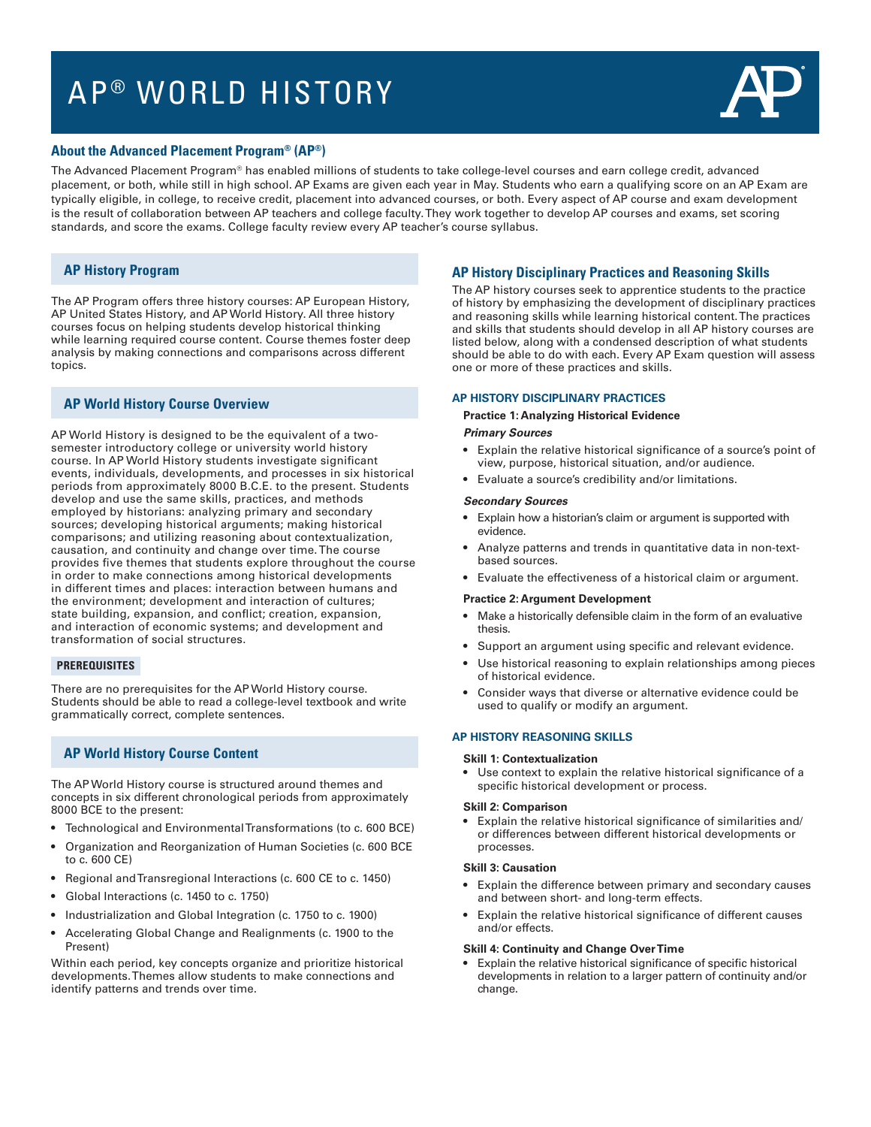# AP<sup>®</sup> WORLD HISTORY



## **About the Advanced Placement Program® (AP®)**

The Advanced Placement Program® has enabled millions of students to take college-level courses and earn college credit, advanced placement, or both, while still in high school. AP Exams are given each year in May. Students who earn a qualifying score on an AP Exam are typically eligible, in college, to receive credit, placement into advanced courses, or both. Every aspect of AP course and exam development is the result of collaboration between AP teachers and college faculty. They work together to develop AP courses and exams, set scoring standards, and score the exams. College faculty review every AP teacher's course syllabus.

# **AP History Program**

The AP Program offers three history courses: AP European History, AP United States History, and AP World History. All three history courses focus on helping students develop historical thinking while learning required course content. Course themes foster deep analysis by making connections and comparisons across different topics.

# **AP World History Course Overview**

AP World History is designed to be the equivalent of a twosemester introductory college or university world history course. In AP World History students investigate significant events, individuals, developments, and processes in six historical periods from approximately 8000 B.C.E. to the present. Students develop and use the same skills, practices, and methods employed by historians: analyzing primary and secondary sources; developing historical arguments; making historical comparisons; and utilizing reasoning about contextualization, causation, and continuity and change over time. The course provides five themes that students explore throughout the course in order to make connections among historical developments in different times and places: interaction between humans and the environment; development and interaction of cultures; state building, expansion, and conflict; creation, expansion, and interaction of economic systems; and development and transformation of social structures.

# **PREREQUISITES**

There are no prerequisites for the AP World History course. Students should be able to read a college-level textbook and write grammatically correct, complete sentences.

# **AP World History Course Content**

The AP World History course is structured around themes and concepts in six different chronological periods from approximately 8000 BCE to the present:

- • Technological and Environmental Transformations (to c. 600 BCE)
- Organization and Reorganization of Human Societies (c. 600 BCE to c. 600 CE)
- Regional and Transregional Interactions (c. 600 CE to c. 1450)
- • Global Interactions (c. 1450 to c. 1750)
- Industrialization and Global Integration (c. 1750 to c. 1900)
- Accelerating Global Change and Realignments (c. 1900 to the Present)

Within each period, key concepts organize and prioritize historical developments. Themes allow students to make connections and identify patterns and trends over time.

# **AP History Disciplinary Practices and Reasoning Skills**

The AP history courses seek to apprentice students to the practice of history by emphasizing the development of disciplinary practices and reasoning skills while learning historical content. The practices and skills that students should develop in all AP history courses are listed below, along with a condensed description of what students should be able to do with each. Every AP Exam question will assess one or more of these practices and skills.

#### **AP HISTORY DISCIPLINARY PRACTICES**

#### **Practice 1: Analyzing Historical Evidence**

#### *Primary Sources*

- Explain the relative historical significance of a source's point of view, purpose, historical situation, and/or audience.
- Evaluate a source's credibility and/or limitations.

#### *Secondary Sources*

- • Explain how a historian's claim or argument is supported with evidence.
- Analyze patterns and trends in quantitative data in non-textbased sources.
- Evaluate the effectiveness of a historical claim or argument.

#### **Practice 2: Argument Development**

- Make a historically defensible claim in the form of an evaluative thesis.
- Support an argument using specific and relevant evidence.
- Use historical reasoning to explain relationships among pieces of historical evidence.
- Consider ways that diverse or alternative evidence could be used to qualify or modify an argument.

## **AP HISTORY REASONING SKILLS**

#### **Skill 1: Contextualization**

Use context to explain the relative historical significance of a specific historical development or process.

#### **Skill 2: Comparison**

• Explain the relative historical significance of similarities and/ or differences between different historical developments or processes.

#### **Skill 3: Causation**

- Explain the difference between primary and secondary causes and between short- and long-term effects.
- Explain the relative historical significance of different causes and/or effects.

#### **Skill 4: Continuity and Change Over Time**

• Explain the relative historical significance of specific historical developments in relation to a larger pattern of continuity and/or change.